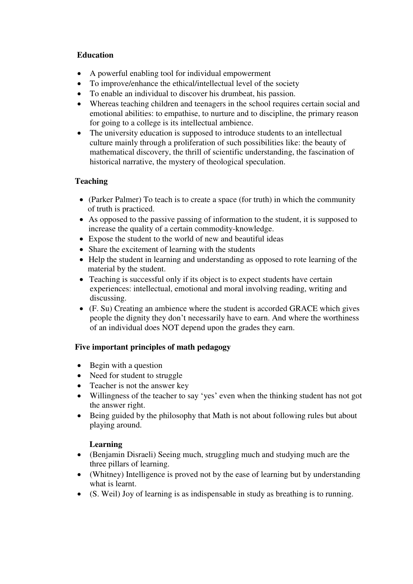### **Education**

- A powerful enabling tool for individual empowerment
- To improve/enhance the ethical/intellectual level of the society
- To enable an individual to discover his drumbeat, his passion.
- Whereas teaching children and teenagers in the school requires certain social and emotional abilities: to empathise, to nurture and to discipline, the primary reason for going to a college is its intellectual ambience.
- The university education is supposed to introduce students to an intellectual culture mainly through a proliferation of such possibilities like: the beauty of mathematical discovery, the thrill of scientific understanding, the fascination of historical narrative, the mystery of theological speculation.

# **Teaching**

- (Parker Palmer) To teach is to create a space (for truth) in which the community of truth is practiced.
- As opposed to the passive passing of information to the student, it is supposed to increase the quality of a certain commodity-knowledge.
- Expose the student to the world of new and beautiful ideas
- Share the excitement of learning with the students
- Help the student in learning and understanding as opposed to rote learning of the material by the student.
- Teaching is successful only if its object is to expect students have certain experiences: intellectual, emotional and moral involving reading, writing and discussing.
- (F. Su) Creating an ambience where the student is accorded GRACE which gives people the dignity they don't necessarily have to earn. And where the worthiness of an individual does NOT depend upon the grades they earn.

## **Five important principles of math pedagogy**

- Begin with a question
- Need for student to struggle
- Teacher is not the answer key
- Willingness of the teacher to say 'yes' even when the thinking student has not got the answer right.
- Being guided by the philosophy that Math is not about following rules but about playing around.

## **Learning**

- (Benjamin Disraeli) Seeing much, struggling much and studying much are the three pillars of learning.
- (Whitney) Intelligence is proved not by the ease of learning but by understanding what is learnt.
- (S. Weil) Joy of learning is as indispensable in study as breathing is to running.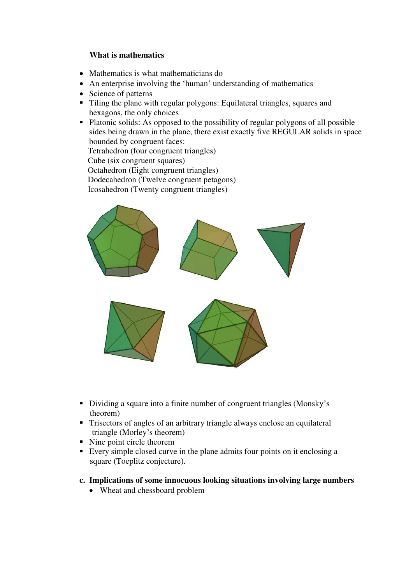### **What is mathematics**

- Mathematics is what mathematicians do
- An enterprise involving the 'human' understanding of mathematics
- Science of patterns
- Tiling the plane with regular polygons: Equilateral triangles, squares and hexagons, the only choices
- Platonic solids: As opposed to the possibility of regular polygons of all possible sides being drawn in the plane, there exist exactly five REGULAR solids in space bounded by congruent faces:

Tetrahedron (four congruent triangles)

Cube (six congruent squares)

Octahedron (Eight congruent triangles)

Dodecahedron (Twelve congruent petagons)

Icosahedron (Twenty congruent triangles)



- Dividing a square into a finite number of congruent triangles (Monsky's theorem)
- Trisectors of angles of an arbitrary triangle always enclose an equilateral triangle (Morley's theorem)
- Nine point circle theorem
- Every simple closed curve in the plane admits four points on it enclosing a square (Toeplitz conjecture).
- **c. Implications of some innocuous looking situations involving large numbers** 
	- Wheat and chessboard problem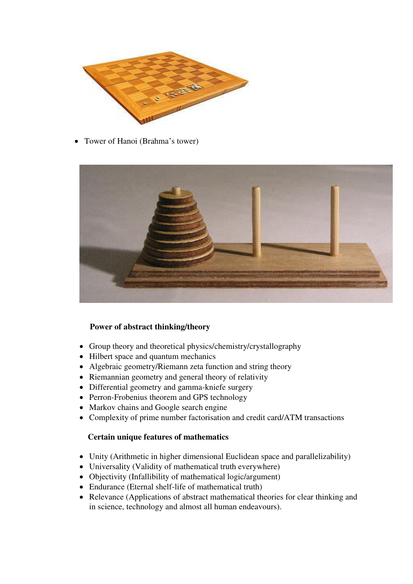

• Tower of Hanoi (Brahma's tower)



## **Power of abstract thinking/theory**

- Group theory and theoretical physics/chemistry/crystallography
- Hilbert space and quantum mechanics
- Algebraic geometry/Riemann zeta function and string theory
- Riemannian geometry and general theory of relativity
- Differential geometry and gamma-kniefe surgery
- Perron-Frobenius theorem and GPS technology
- Markov chains and Google search engine
- Complexity of prime number factorisation and credit card/ATM transactions

#### **Certain unique features of mathematics**

- Unity (Arithmetic in higher dimensional Euclidean space and parallelizability)
- Universality (Validity of mathematical truth everywhere)
- Objectivity (Infallibility of mathematical logic/argument)
- Endurance (Eternal shelf-life of mathematical truth)
- Relevance (Applications of abstract mathematical theories for clear thinking and in science, technology and almost all human endeavours).